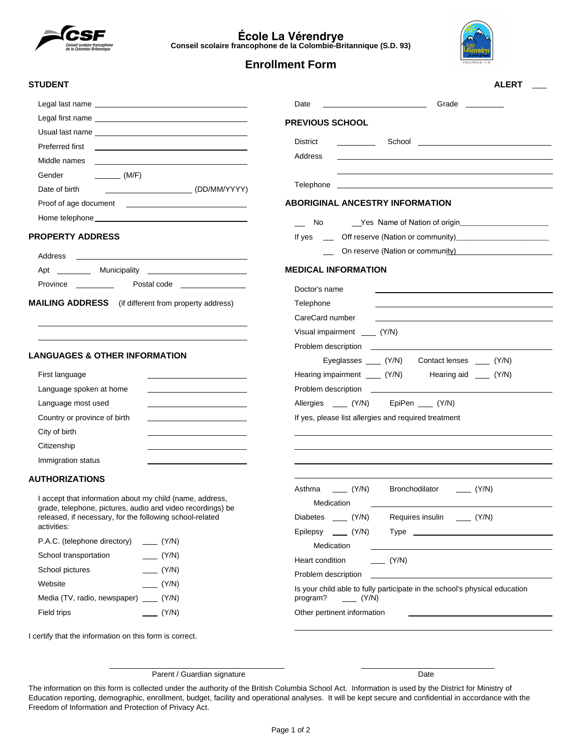

**École La Vérendrye Conseil scolaire francophone de la Colombie-Britannique (S.D. 93)**



**ALERT**

# **Enrollment Form**

**PREVIOUS SCHOOL**

Address

Telephone

No

Doctor's name Telephone CareCard number

Problem description

**MEDICAL INFORMATION**

Visual impairment (Y/N)

If yes

Date <u>\_\_\_\_\_\_\_\_\_</u> Grade

District School

**ABORIGINAL ANCESTRY INFORMATION**

Yes Name of Nation of origin\_\_\_\_\_\_\_\_\_\_\_\_\_\_\_\_\_\_\_\_\_

Off reserve (Nation or community)\_\_\_\_\_\_\_\_\_\_\_\_\_\_\_\_\_\_\_\_\_\_ On reserve (Nation or community)

#### **STUDENT**

| Middle names<br><u> 1989 - Johann Barnett, fransk politiker (d. 1989)</u>                                                                                                                                                      |
|--------------------------------------------------------------------------------------------------------------------------------------------------------------------------------------------------------------------------------|
| Gender<br>(M/F)                                                                                                                                                                                                                |
| Date of birth                                                                                                                                                                                                                  |
| Proof of age document<br><u> 1989 - Andrea State Barbara, amerikan personal di sebagai personal di sebagai personal di sebagai personal di</u>                                                                                 |
| Home telephone that the contract of the contract of the contract of the contract of the contract of the contract of the contract of the contract of the contract of the contract of the contract of the contract of the contra |

#### **PROPERTY ADDRESS**

| Address  |                                                                                                                                      |
|----------|--------------------------------------------------------------------------------------------------------------------------------------|
| Apt      | Municipality<br><u> 1980 - Jan Samuel Barbara, politik a primeira a prestava a primeira a prestava a prestava a prestava a prest</u> |
| Province | Postal code                                                                                                                          |

**MAILING ADDRESS** (if different from property address)

#### **LANGUAGES & OTHER INFORMATION**

| First language               |  |
|------------------------------|--|
| Language spoken at home      |  |
| Language most used           |  |
| Country or province of birth |  |
| City of birth                |  |
| Citizenship                  |  |
| Immigration status           |  |

### **AUTHORIZATIONS**

I accept that information about my child (name, address, grade, telephone, pictures, audio and video recordings) be released, if necessary, for the following school-related activities:

| P.A.C. (telephone directory)       | (Y/N) |
|------------------------------------|-------|
| School transportation              | (Y/N) |
| School pictures                    | (Y/N) |
| Website                            | (Y/N) |
| Media (TV, radio, newspaper) (Y/N) |       |
| Field trips                        | (Y/N) |

| Allergies ____ (Y/N) EpiPen ___ (Y/N)                |                                                                                                                      |
|------------------------------------------------------|----------------------------------------------------------------------------------------------------------------------|
| If yes, please list allergies and required treatment |                                                                                                                      |
|                                                      |                                                                                                                      |
|                                                      |                                                                                                                      |
|                                                      |                                                                                                                      |
|                                                      | Asthma _____ (Y/N) Bronchodilator _____ (Y/N)                                                                        |
| Medication                                           | <u> 1980 - Jan Samuel Barbara, martin de la contrada de la contrada de la contrada de la contrada de la contrada</u> |
|                                                      | Diabetes ____ (Y/N) Requires insulin ____ (Y/N)                                                                      |
|                                                      |                                                                                                                      |
| Medication                                           | <u> 1989 - Andrea Stadt, fransk politiker (d. 1989)</u>                                                              |
| Heart condition _______ (Y/N)                        |                                                                                                                      |
| Problem description                                  | <u> 1989 - Johann Stein, skriuwer fan it ferskearre fan it ferskearre fan it ferskearre fan it ferskearre fan it</u> |
| program? $(Y/N)$                                     | Is your child able to fully participate in the school's physical education                                           |
| Other pertinent information                          |                                                                                                                      |

Eyeglasses \_\_\_\_ (Y/N) Contact lenses \_\_\_ (Y/N)

Hearing impairment (Y/N) Hearing aid (Y/N)

I certify that the information on this form is correct.

Parent / Guardian signature Date

The information on this form is collected under the authority of the British Columbia School Act. Information is used by the District for Ministry of Education reporting, demographic, enrollment, budget, facility and operational analyses. It will be kept secure and confidential in accordance with the Freedom of Information and Protection of Privacy Act.